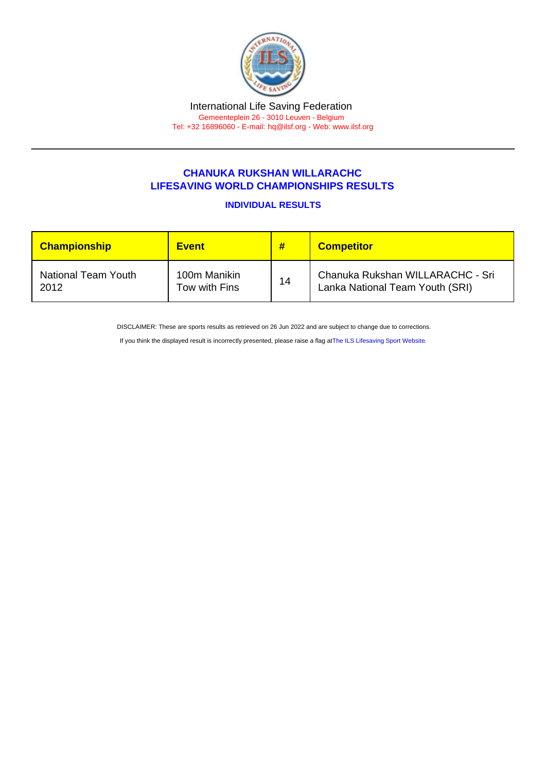## CHANUKA RUKSHAN WILLARACHC LIFESAVING WORLD CHAMPIONSHIPS RESULTS

INDIVIDUAL RESULTS

| <b>Championship</b> | <b>Event</b>  | #  | <b>Competitor</b>                |
|---------------------|---------------|----|----------------------------------|
| National Team Youth | 100m Manikin  | 14 | Chanuka Rukshan WILLARACHC - Sri |
| 2012                | Tow with Fins |    | Lanka National Team Youth (SRI)  |

DISCLAIMER: These are sports results as retrieved on 26 Jun 2022 and are subject to change due to corrections.

If you think the displayed result is incorrectly presented, please raise a flag at [The ILS Lifesaving Sport Website.](https://sport.ilsf.org)